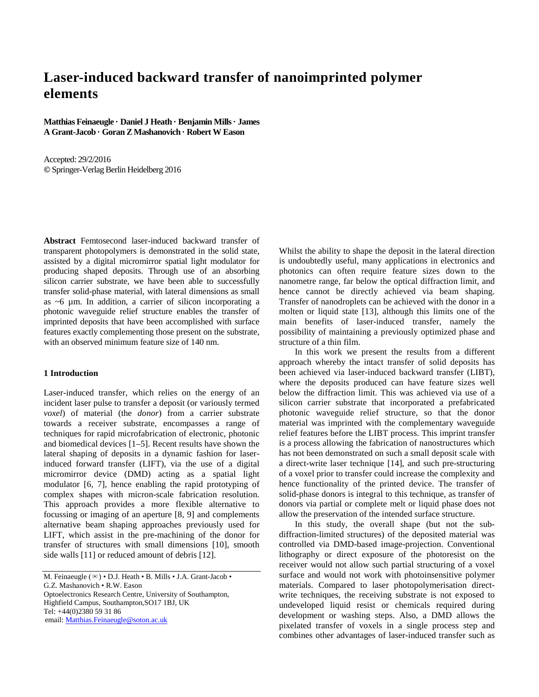# **Laser-induced backward transfer of nanoimprinted polymer elements**

**Matthias Feinaeugle · Daniel J Heath · Benjamin Mills · James A Grant-Jacob · Goran Z Mashanovich · Robert W Eason**

Accepted: 29/2/2016 **©** Springer-Verlag Berlin Heidelberg 2016

**Abstract** Femtosecond laser-induced backward transfer of transparent photopolymers is demonstrated in the solid state, assisted by a digital micromirror spatial light modulator for producing shaped deposits. Through use of an absorbing silicon carrier substrate, we have been able to successfully transfer solid-phase material, with lateral dimensions as small as ~6 µm. In addition, a carrier of silicon incorporating a photonic waveguide relief structure enables the transfer of imprinted deposits that have been accomplished with surface features exactly complementing those present on the substrate, with an observed minimum feature size of 140 nm.

# **1 Introduction**

Laser-induced transfer, which relies on the energy of an incident laser pulse to transfer a deposit (or variously termed *voxel*) of material (the *donor*) from a carrier substrate towards a receiver substrate, encompasses a range of techniques for rapid microfabrication of electronic, photonic and biomedical devices [1–5]. Recent results have shown the lateral shaping of deposits in a dynamic fashion for laserinduced forward transfer (LIFT), via the use of a digital micromirror device (DMD) acting as a spatial light modulator [6, 7], hence enabling the rapid prototyping of complex shapes with micron-scale fabrication resolution. This approach provides a more flexible alternative to focussing or imaging of an aperture [8, 9] and complements alternative beam shaping approaches previously used for LIFT, which assist in the pre-machining of the donor for transfer of structures with small dimensions [10], smooth side walls [11] or reduced amount of debris [12].

M. Feinaeugle ( $\boxtimes$ ) • D.J. Heath • B. Mills • J.A. Grant-Jacob •

G.Z. Mashanovich • R.W. Eason

Optoelectronics Research Centre, University of Southampton, Highfield Campus, Southampton,SO17 1BJ, UK Tel: +44(0)2380 59 31 86 email: Matthias.Feinaeugle@soton.ac.uk

Whilst the ability to shape the deposit in the lateral direction is undoubtedly useful, many applications in electronics and photonics can often require feature sizes down to the nanometre range, far below the optical diffraction limit, and hence cannot be directly achieved via beam shaping. Transfer of nanodroplets can be achieved with the donor in a molten or liquid state [13], although this limits one of the main benefits of laser-induced transfer, namely the possibility of maintaining a previously optimized phase and structure of a thin film.

In this work we present the results from a different approach whereby the intact transfer of solid deposits has been achieved via laser-induced backward transfer (LIBT), where the deposits produced can have feature sizes well below the diffraction limit. This was achieved via use of a silicon carrier substrate that incorporated a prefabricated photonic waveguide relief structure, so that the donor material was imprinted with the complementary waveguide relief features before the LIBT process. This imprint transfer is a process allowing the fabrication of nanostructures which has not been demonstrated on such a small deposit scale with a direct-write laser technique [14], and such pre-structuring of a voxel prior to transfer could increase the complexity and hence functionality of the printed device. The transfer of solid-phase donors is integral to this technique, as transfer of donors via partial or complete melt or liquid phase does not allow the preservation of the intended surface structure.

In this study, the overall shape (but not the subdiffraction-limited structures) of the deposited material was controlled via DMD-based image-projection. Conventional lithography or direct exposure of the photoresist on the receiver would not allow such partial structuring of a voxel surface and would not work with photoinsensitive polymer materials. Compared to laser photopolymerisation directwrite techniques, the receiving substrate is not exposed to undeveloped liquid resist or chemicals required during development or washing steps. Also, a DMD allows the pixelated transfer of voxels in a single process step and combines other advantages of laser-induced transfer such as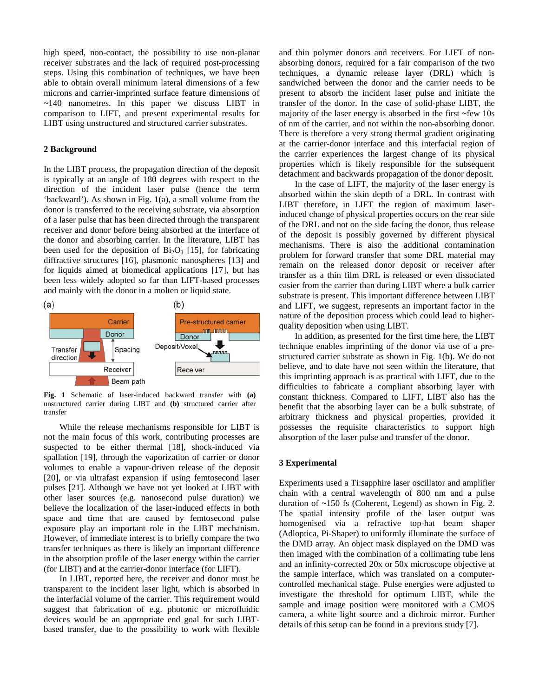high speed, non-contact, the possibility to use non-planar receiver substrates and the lack of required post-processing steps. Using this combination of techniques, we have been able to obtain overall minimum lateral dimensions of a few microns and carrier-imprinted surface feature dimensions of  $\sim$ 140 nanometres. In this paper we discuss LIBT in comparison to LIFT, and present experimental results for LIBT using unstructured and structured carrier substrates.

#### **2 Background**

In the LIBT process, the propagation direction of the deposit is typically at an angle of 180 degrees with respect to the direction of the incident laser pulse (hence the term 'backward'). As shown in Fig. 1(a), a small volume from the donor is transferred to the receiving substrate, via absorption of a laser pulse that has been directed through the transparent receiver and donor before being absorbed at the interface of the donor and absorbing carrier. In the literature, LIBT has been used for the deposition of  $Bi<sub>2</sub>O<sub>3</sub>$  [15], for fabricating diffractive structures [16], plasmonic nanospheres [13] and for liquids aimed at biomedical applications [17], but has been less widely adopted so far than LIFT-based processes and mainly with the donor in a molten or liquid state.



**Fig. 1** Schematic of laser-induced backward transfer with **(a)** unstructured carrier during LIBT and **(b)** structured carrier after transfer

While the release mechanisms responsible for LIBT is not the main focus of this work, contributing processes are suspected to be either thermal [18], shock-induced via spallation [19], through the vaporization of carrier or donor volumes to enable a vapour-driven release of the deposit [20], or via ultrafast expansion if using femtosecond laser pulses [21]. Although we have not yet looked at LIBT with other laser sources (e.g. nanosecond pulse duration) we believe the localization of the laser-induced effects in both space and time that are caused by femtosecond pulse exposure play an important role in the LIBT mechanism. However, of immediate interest is to briefly compare the two transfer techniques as there is likely an important difference in the absorption profile of the laser energy within the carrier (for LIBT) and at the carrier-donor interface (for LIFT).

In LIBT, reported here, the receiver and donor must be transparent to the incident laser light, which is absorbed in the interfacial volume of the carrier. This requirement would suggest that fabrication of e.g. photonic or microfluidic devices would be an appropriate end goal for such LIBTbased transfer, due to the possibility to work with flexible and thin polymer donors and receivers. For LIFT of nonabsorbing donors, required for a fair comparison of the two techniques, a dynamic release layer (DRL) which is sandwiched between the donor and the carrier needs to be present to absorb the incident laser pulse and initiate the transfer of the donor. In the case of solid-phase LIBT, the majority of the laser energy is absorbed in the first ~few 10s of nm of the carrier, and not within the non-absorbing donor. There is therefore a very strong thermal gradient originating at the carrier-donor interface and this interfacial region of the carrier experiences the largest change of its physical properties which is likely responsible for the subsequent detachment and backwards propagation of the donor deposit.

In the case of LIFT, the majority of the laser energy is absorbed within the skin depth of a DRL. In contrast with LIBT therefore, in LIFT the region of maximum laserinduced change of physical properties occurs on the rear side of the DRL and not on the side facing the donor, thus release of the deposit is possibly governed by different physical mechanisms. There is also the additional contamination problem for forward transfer that some DRL material may remain on the released donor deposit or receiver after transfer as a thin film DRL is released or even dissociated easier from the carrier than during LIBT where a bulk carrier substrate is present. This important difference between LIBT and LIFT, we suggest, represents an important factor in the nature of the deposition process which could lead to higherquality deposition when using LIBT.

In addition, as presented for the first time here, the LIBT technique enables imprinting of the donor via use of a prestructured carrier substrate as shown in Fig. 1(b). We do not believe, and to date have not seen within the literature, that this imprinting approach is as practical with LIFT, due to the difficulties to fabricate a compliant absorbing layer with constant thickness. Compared to LIFT, LIBT also has the benefit that the absorbing layer can be a bulk substrate, of arbitrary thickness and physical properties, provided it possesses the requisite characteristics to support high absorption of the laser pulse and transfer of the donor.

# **3 Experimental**

Experiments used a Ti:sapphire laser oscillator and amplifier chain with a central wavelength of 800 nm and a pulse duration of ~150 fs (Coherent, Legend) as shown in Fig. 2. The spatial intensity profile of the laser output was homogenised via a refractive top-hat beam shaper (Adloptica, Pi-Shaper) to uniformly illuminate the surface of the DMD array. An object mask displayed on the DMD was then imaged with the combination of a collimating tube lens and an infinity-corrected 20x or 50x microscope objective at the sample interface, which was translated on a computercontrolled mechanical stage. Pulse energies were adjusted to investigate the threshold for optimum LIBT, while the sample and image position were monitored with a CMOS camera, a white light source and a dichroic mirror. Further details of this setup can be found in a previous study [7].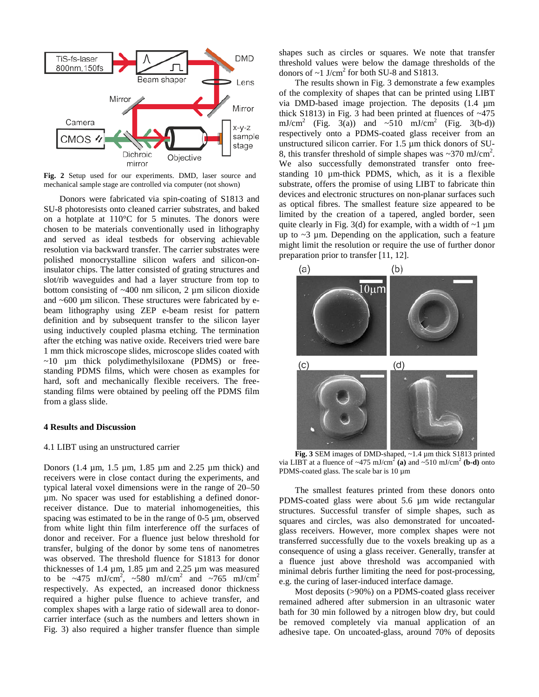

**Fig. 2** Setup used for our experiments. DMD, laser source and mechanical sample stage are controlled via computer (not shown)

Donors were fabricated via spin-coating of S1813 and SU-8 photoresists onto cleaned carrier substrates, and baked on a hotplate at 110°C for 5 minutes. The donors were chosen to be materials conventionally used in lithography and served as ideal testbeds for observing achievable resolution via backward transfer. The carrier substrates were polished monocrystalline silicon wafers and silicon-oninsulator chips. The latter consisted of grating structures and slot/rib waveguides and had a layer structure from top to bottom consisting of  $~400$  nm silicon, 2 µm silicon dioxide and  $~600 \mu$ m silicon. These structures were fabricated by ebeam lithography using ZEP e-beam resist for pattern definition and by subsequent transfer to the silicon layer using inductively coupled plasma etching. The termination after the etching was native oxide. Receivers tried were bare 1 mm thick microscope slides, microscope slides coated with  $\sim$ 10  $\mu$ m thick polydimethylsiloxane (PDMS) or freestanding PDMS films, which were chosen as examples for hard, soft and mechanically flexible receivers. The freestanding films were obtained by peeling off the PDMS film from a glass slide.

#### **4 Results and Discussion**

#### 4.1 LIBT using an unstructured carrier

Donors (1.4 µm, 1.5 µm, 1.85 µm and 2.25 µm thick) and receivers were in close contact during the experiments, and typical lateral voxel dimensions were in the range of 20–50 µm. No spacer was used for establishing a defined donorreceiver distance. Due to material inhomogeneities, this spacing was estimated to be in the range of  $0-5 \mu m$ , observed from white light thin film interference off the surfaces of donor and receiver. For a fluence just below threshold for transfer, bulging of the donor by some tens of nanometres was observed. The threshold fluence for S1813 for donor thicknesses of 1.4  $\mu$ m, 1.85  $\mu$ m and 2.25  $\mu$ m was measured to be ~475 mJ/cm<sup>2</sup>, ~580 mJ/cm<sup>2</sup> and ~765 mJ/cm<sup>2</sup> respectively. As expected, an increased donor thickness required a higher pulse fluence to achieve transfer, and complex shapes with a large ratio of sidewall area to donorcarrier interface (such as the numbers and letters shown in Fig. 3) also required a higher transfer fluence than simple

shapes such as circles or squares. We note that transfer threshold values were below the damage thresholds of the donors of  $\sim$ 1 J/cm<sup>2</sup> for both SU-8 and S1813.

The results shown in Fig. 3 demonstrate a few examples of the complexity of shapes that can be printed using LIBT via DMD-based image projection. The deposits (1.4 µm thick S1813) in Fig. 3 had been printed at fluences of  $\sim$ 475 mJ/cm<sup>2</sup> (Fig. 3(a)) and  $\sim$ 510 mJ/cm<sup>2</sup> (Fig. 3(b-d)) respectively onto a PDMS-coated glass receiver from an unstructured silicon carrier. For 1.5 µm thick donors of SU-8, this transfer threshold of simple shapes was  $\sim$ 370 mJ/cm<sup>2</sup>. We also successfully demonstrated transfer onto freestanding 10 µm-thick PDMS, which, as it is a flexible substrate, offers the promise of using LIBT to fabricate thin devices and electronic structures on non-planar surfaces such as optical fibres. The smallest feature size appeared to be limited by the creation of a tapered, angled border, seen quite clearly in Fig. 3(d) for example, with a width of  $\sim$ 1  $\mu$ m up to  $\sim$ 3 µm. Depending on the application, such a feature might limit the resolution or require the use of further donor preparation prior to transfer [11, 12].



**Fig. 3** SEM images of DMD-shaped, ~1.4 µm thick S1813 printed via LIBT at a fluence of  $\sim$ 475 mJ/cm<sup>2</sup> (a) and  $\sim$ 510 mJ/cm<sup>2</sup> (b-d) onto PDMS-coated glass. The scale bar is 10  $\mu$ m

The smallest features printed from these donors onto PDMS-coated glass were about 5.6 µm wide rectangular structures. Successful transfer of simple shapes, such as squares and circles, was also demonstrated for uncoatedglass receivers. However, more complex shapes were not transferred successfully due to the voxels breaking up as a consequence of using a glass receiver. Generally, transfer at a fluence just above threshold was accompanied with minimal debris further limiting the need for post-processing, e.g. the curing of laser-induced interface damage.

Most deposits (>90%) on a PDMS-coated glass receiver remained adhered after submersion in an ultrasonic water bath for 30 min followed by a nitrogen blow dry, but could be removed completely via manual application of an adhesive tape. On uncoated-glass, around 70% of deposits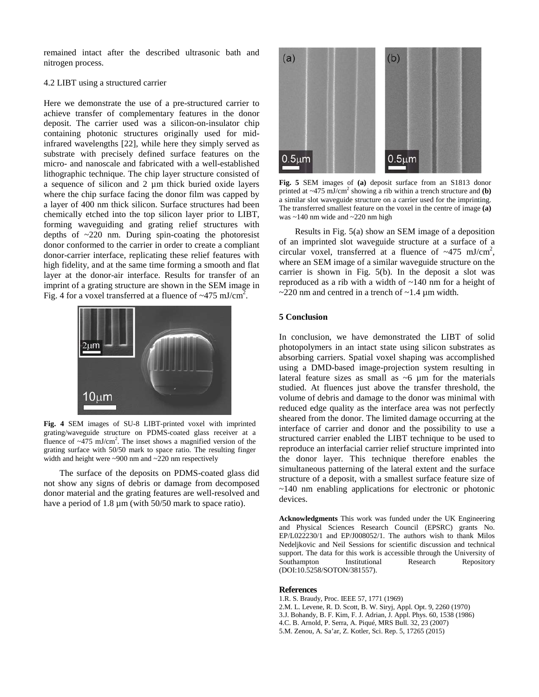remained intact after the described ultrasonic bath and nitrogen process.

### 4.2 LIBT using a structured carrier

Here we demonstrate the use of a pre-structured carrier to achieve transfer of complementary features in the donor deposit. The carrier used was a silicon-on-insulator chip containing photonic structures originally used for midinfrared wavelengths [22], while here they simply served as substrate with precisely defined surface features on the micro- and nanoscale and fabricated with a well-established lithographic technique. The chip layer structure consisted of a sequence of silicon and 2 µm thick buried oxide layers where the chip surface facing the donor film was capped by a layer of 400 nm thick silicon. Surface structures had been chemically etched into the top silicon layer prior to LIBT, forming waveguiding and grating relief structures with depths of ~220 nm. During spin-coating the photoresist donor conformed to the carrier in order to create a compliant donor-carrier interface, replicating these relief features with high fidelity, and at the same time forming a smooth and flat layer at the donor-air interface. Results for transfer of an imprint of a grating structure are shown in the SEM image in Fig. 4 for a voxel transferred at a fluence of  $\sim$ 475 mJ/cm<sup>2</sup>.



**Fig. 4** SEM images of SU-8 LIBT-printed voxel with imprinted grating/waveguide structure on PDMS-coated glass receiver at a fluence of  $\sim$ 475 mJ/cm<sup>2</sup>. The inset shows a magnified version of the grating surface with 50/50 mark to space ratio. The resulting finger width and height were ~900 nm and ~220 nm respectively

The surface of the deposits on PDMS-coated glass did not show any signs of debris or damage from decomposed donor material and the grating features are well-resolved and have a period of 1.8  $\mu$ m (with 50/50 mark to space ratio).



**Fig. 5** SEM images of **(a)** deposit surface from an S1813 donor printed at  $\sim$ 475 mJ/cm<sup>2</sup> showing a rib within a trench structure and **(b)** a similar slot waveguide structure on a carrier used for the imprinting. The transferred smallest feature on the voxel in the centre of image **(a)** was ~140 nm wide and ~220 nm high

Results in Fig. 5(a) show an SEM image of a deposition of an imprinted slot waveguide structure at a surface of a circular voxel, transferred at a fluence of  $\sim$ 475 mJ/cm<sup>2</sup>, where an SEM image of a similar waveguide structure on the carrier is shown in Fig. 5(b). In the deposit a slot was reproduced as a rib with a width of ~140 nm for a height of  $\sim$ 220 nm and centred in a trench of  $\sim$ 1.4 µm width.

### **5 Conclusion**

In conclusion, we have demonstrated the LIBT of solid photopolymers in an intact state using silicon substrates as absorbing carriers. Spatial voxel shaping was accomplished using a DMD-based image-projection system resulting in lateral feature sizes as small as ~6 µm for the materials studied. At fluences just above the transfer threshold, the volume of debris and damage to the donor was minimal with reduced edge quality as the interface area was not perfectly sheared from the donor. The limited damage occurring at the interface of carrier and donor and the possibility to use a structured carrier enabled the LIBT technique to be used to reproduce an interfacial carrier relief structure imprinted into the donor layer. This technique therefore enables the simultaneous patterning of the lateral extent and the surface structure of a deposit, with a smallest surface feature size of ~140 nm enabling applications for electronic or photonic devices.

**Acknowledgments** This work was funded under the UK Engineering and Physical Sciences Research Council (EPSRC) grants No. EP/L022230/1 and EP/J008052/1. The authors wish to thank Milos Nedeljkovic and Neil Sessions for scientific discussion and technical support. The data for this work is accessible through the University of Southampton Institutional Research Repository (DOI:10.5258/SOTON/381557).

#### **References**

- 1.R. S. Braudy, Proc. IEEE 57, 1771 (1969)
- 2.M. L. Levene, R. D. Scott, B. W. Siryj, Appl. Opt. 9, 2260 (1970)
- 3.J. Bohandy, B. F. Kim, F. J. Adrian, J. Appl. Phys. 60, 1538 (1986)
- 4.C. B. Arnold, P. Serra, A. Piqué, MRS Bull. 32, 23 (2007)
- 5.M. Zenou, A. Sa'ar, Z. Kotler, Sci. Rep. 5, 17265 (2015)